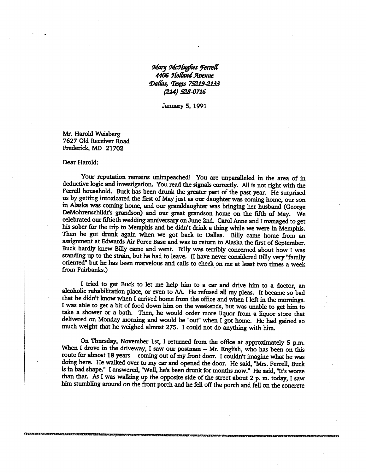## **Mary McHughes Ferrell 4406 9fotiandAvenue Dallis, Texas 75219-2133 (214) 528-0716**

**January 5, 1991** 

**Mr. Harold Weisberg 7627 Old Receiver Road Frederick, MD 21702** 

## **Dear Harold:**

**Your reputation remains unimpeached! You are unparalleled in the area of in deductive logic and investigation. You read the signals correctly. All is not right with the Ferrell household. Buck has been drunk the greater part of the past year. He surprised us by getting intoxicated the first of May just as our daughter was coming home, our son in Alaska was coming home, and our granddaughter was bringing her husband (George DeMohrenschildes grandson) and our great grandson home on the fifth of May. We celebrated our fiftieth wedding anniversary on June 2nd. Carol Anne and I managed to get his sober for the trip to Memphis and he didn't drink a thing while we were in Memphis. Then he got drunk again when we got back to Dallas. Billy came home from an assignment at Edwards Air Force Base and was to return to Alaska the first of September. Buck hardly knew Billy came and went. Billy was terribly concerned about how I was standing up to the strain, but he had to leave. (I have never considered Billy very "family oriented" but he has been marvelous and calls to check on me at least two times a week from Fairbanks.)** 

**I tried to get Buck to let me help him to a car and drive him to a doctor, an alcoholic rehabilitation place, or even to AA. He refused all my pleas. It became so bad that he didn't know when I arrived home from the office and when I left in the mornings. I was able to get a bit of food down him on the weekends, but was unable to get him to take a shower or a bath. Then, he would order more liquor from a liquor store that delivered on Monday morning and would be "out" when I got home. He had gained so much weight that he weighed almost 275. I could not do anything with him.** 

**On Thursday, November 1st, I returned from the office at approximately 5 p.m.**  When I drove in the driveway, I saw our postman -- Mr. English, who has been on this **route for almost 18 years — coming out of my front door. I couldn't imagine what he was doing here. He walked over to my car and opened the door. He said, "Mrs. Ferrell, Buck is in bad shape." I answered, "Well, he's been drunk for months now." He said, "It's worse than that. As I was walking up the opposite side of the street about 2 p. m. today, I saw him stumbling around on the front porch and he fell off the porch and fell on the concrete**